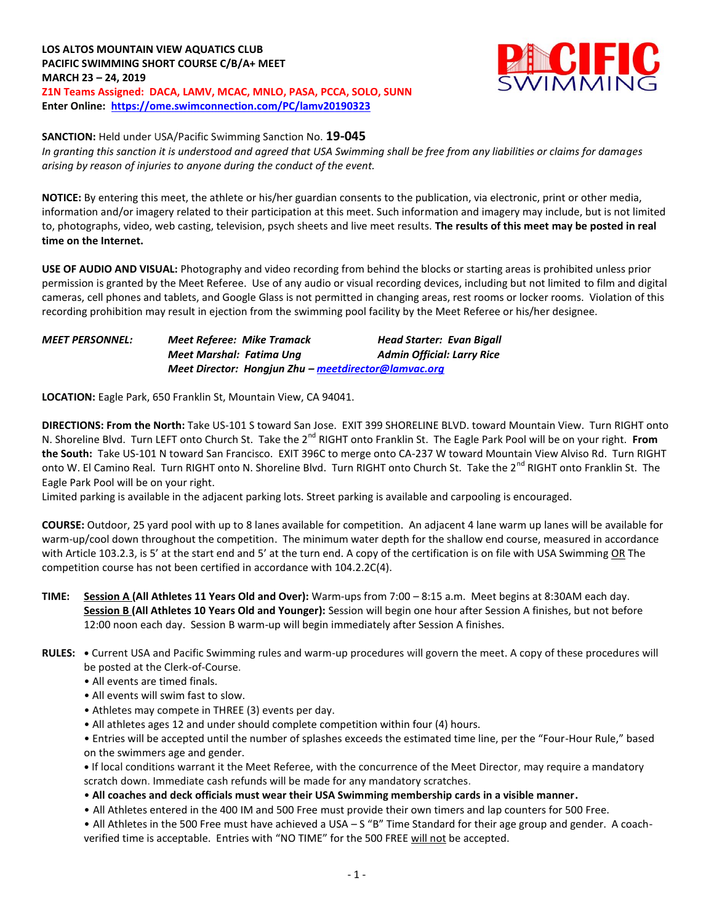## **LOS ALTOS MOUNTAIN VIEW AQUATICS CLUB PACIFIC SWIMMING SHORT COURSE C/B/A+ MEET MARCH 23 – 24, 2019 Z1N Teams Assigned: DACA, LAMV, MCAC, MNLO, PASA, PCCA, SOLO, SUNN Enter Online: <https://ome.swimconnection.com/PC/lamv20190323>**



## **SANCTION:** Held under USA/Pacific Swimming Sanction No. **19-045**

*In granting this sanction it is understood and agreed that USA Swimming shall be free from any liabilities or claims for damages arising by reason of injuries to anyone during the conduct of the event.* 

**NOTICE:** By entering this meet, the athlete or his/her guardian consents to the publication, via electronic, print or other media, information and/or imagery related to their participation at this meet. Such information and imagery may include, but is not limited to, photographs, video, web casting, television, psych sheets and live meet results. **The results of this meet may be posted in real time on the Internet.**

**USE OF AUDIO AND VISUAL:** Photography and video recording from behind the blocks or starting areas is prohibited unless prior permission is granted by the Meet Referee. Use of any audio or visual recording devices, including but not limited to film and digital cameras, cell phones and tablets, and Google Glass is not permitted in changing areas, rest rooms or locker rooms. Violation of this recording prohibition may result in ejection from the swimming pool facility by the Meet Referee or his/her designee.

| <i>MEET PERSONNEL:</i> | Meet Referee: Mike Tramack                           | <b>Head Starter: Evan Bigall</b>  |
|------------------------|------------------------------------------------------|-----------------------------------|
|                        | Meet Marshal: Fatima Ung                             | <b>Admin Official: Larry Rice</b> |
|                        | Meet Director: Hongjun Zhu – meetdirector@lamvac.org |                                   |

**LOCATION:** Eagle Park, 650 Franklin St, Mountain View, CA 94041.

**DIRECTIONS: From the North:** Take US-101 S toward San Jose. EXIT 399 SHORELINE BLVD. toward Mountain View. Turn RIGHT onto N. Shoreline Blvd. Turn LEFT onto Church St. Take the 2<sup>nd</sup> RIGHT onto Franklin St. The Eagle Park Pool will be on your right. **From the South:** Take US-101 N toward San Francisco. EXIT 396C to merge onto CA-237 W toward Mountain View Alviso Rd. Turn RIGHT onto W. El Camino Real. Turn RIGHT onto N. Shoreline Blvd. Turn RIGHT onto Church St. Take the 2<sup>nd</sup> RIGHT onto Franklin St. The Eagle Park Pool will be on your right.

Limited parking is available in the adjacent parking lots. Street parking is available and carpooling is encouraged.

**COURSE:** Outdoor, 25 yard pool with up to 8 lanes available for competition. An adjacent 4 lane warm up lanes will be available for warm-up/cool down throughout the competition. The minimum water depth for the shallow end course, measured in accordance with Article 103.2.3, is 5' at the start end and 5' at the turn end. A copy of the certification is on file with USA Swimming OR The competition course has not been certified in accordance with 104.2.2C(4).

- **TIME: Session A (All Athletes 11 Years Old and Over):** Warm-ups from 7:00 8:15 a.m. Meet begins at 8:30AM each day. **Session B (All Athletes 10 Years Old and Younger):** Session will begin one hour after Session A finishes, but not before 12:00 noon each day. Session B warm-up will begin immediately after Session A finishes.
- **RULES: •** Current USA and Pacific Swimming rules and warm-up procedures will govern the meet. A copy of these procedures will be posted at the Clerk-of-Course.
	- All events are timed finals.
	- All events will swim fast to slow.
	- Athletes may compete in THREE (3) events per day.
	- All athletes ages 12 and under should complete competition within four (4) hours.
	- Entries will be accepted until the number of splashes exceeds the estimated time line, per the "Four-Hour Rule," based on the swimmers age and gender.

**•** If local conditions warrant it the Meet Referee, with the concurrence of the Meet Director, may require a mandatory scratch down. Immediate cash refunds will be made for any mandatory scratches.

- **All coaches and deck officials must wear their USA Swimming membership cards in a visible manner.**
- All Athletes entered in the 400 IM and 500 Free must provide their own timers and lap counters for 500 Free.

• All Athletes in the 500 Free must have achieved a USA – S "B" Time Standard for their age group and gender. A coachverified time is acceptable. Entries with "NO TIME" for the 500 FREE will not be accepted.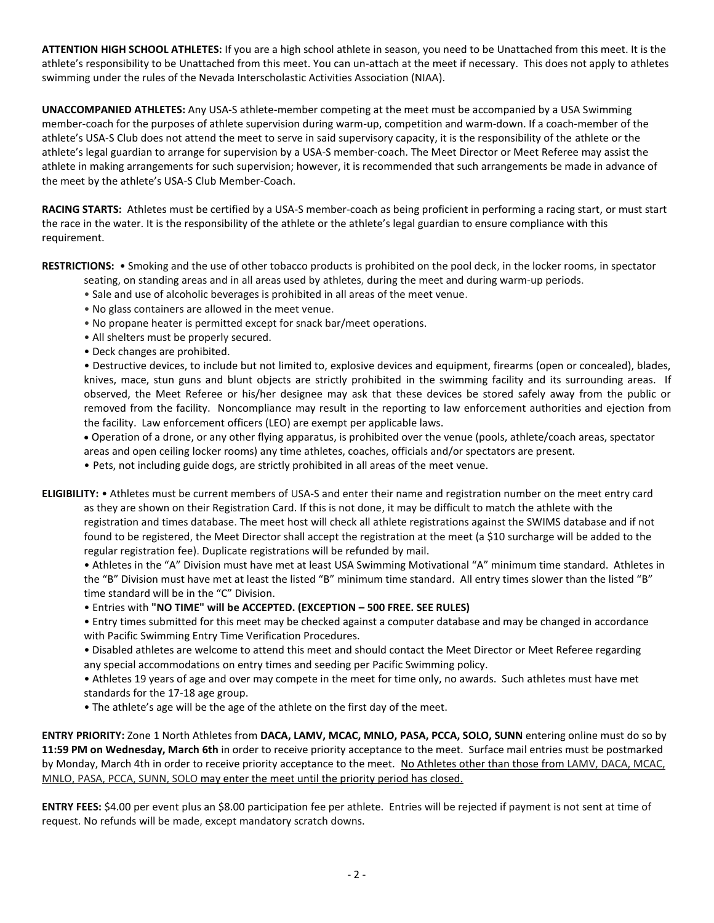**ATTENTION HIGH SCHOOL ATHLETES:** If you are a high school athlete in season, you need to be Unattached from this meet. It is the athlete's responsibility to be Unattached from this meet. You can un-attach at the meet if necessary. This does not apply to athletes swimming under the rules of the Nevada Interscholastic Activities Association (NIAA).

**UNACCOMPANIED ATHLETES:** Any USA-S athlete-member competing at the meet must be accompanied by a USA Swimming member-coach for the purposes of athlete supervision during warm-up, competition and warm-down. If a coach-member of the athlete's USA-S Club does not attend the meet to serve in said supervisory capacity, it is the responsibility of the athlete or the athlete's legal guardian to arrange for supervision by a USA-S member-coach. The Meet Director or Meet Referee may assist the athlete in making arrangements for such supervision; however, it is recommended that such arrangements be made in advance of the meet by the athlete's USA-S Club Member-Coach.

**RACING STARTS:** Athletes must be certified by a USA-S member-coach as being proficient in performing a racing start, or must start the race in the water. It is the responsibility of the athlete or the athlete's legal guardian to ensure compliance with this requirement.

**RESTRICTIONS:** • Smoking and the use of other tobacco products is prohibited on the pool deck, in the locker rooms, in spectator

- seating, on standing areas and in all areas used by athletes, during the meet and during warm-up periods.
- Sale and use of alcoholic beverages is prohibited in all areas of the meet venue.
- No glass containers are allowed in the meet venue.
- No propane heater is permitted except for snack bar/meet operations.
- All shelters must be properly secured.
- Deck changes are prohibited.

• Destructive devices, to include but not limited to, explosive devices and equipment, firearms (open or concealed), blades, knives, mace, stun guns and blunt objects are strictly prohibited in the swimming facility and its surrounding areas. If observed, the Meet Referee or his/her designee may ask that these devices be stored safely away from the public or removed from the facility. Noncompliance may result in the reporting to law enforcement authorities and ejection from the facility. Law enforcement officers (LEO) are exempt per applicable laws.

 Operation of a drone, or any other flying apparatus, is prohibited over the venue (pools, athlete/coach areas, spectator areas and open ceiling locker rooms) any time athletes, coaches, officials and/or spectators are present.

• Pets, not including guide dogs, are strictly prohibited in all areas of the meet venue.

**ELIGIBILITY:** • Athletes must be current members of USA-S and enter their name and registration number on the meet entry card as they are shown on their Registration Card. If this is not done, it may be difficult to match the athlete with the registration and times database. The meet host will check all athlete registrations against the SWIMS database and if not found to be registered, the Meet Director shall accept the registration at the meet (a \$10 surcharge will be added to the regular registration fee). Duplicate registrations will be refunded by mail.

• Athletes in the "A" Division must have met at least USA Swimming Motivational "A" minimum time standard. Athletes in the "B" Division must have met at least the listed "B" minimum time standard. All entry times slower than the listed "B" time standard will be in the "C" Division.

- Entries with **"NO TIME" will be ACCEPTED. (EXCEPTION – 500 FREE. SEE RULES)**
- Entry times submitted for this meet may be checked against a computer database and may be changed in accordance with Pacific Swimming Entry Time Verification Procedures.

• Disabled athletes are welcome to attend this meet and should contact the Meet Director or Meet Referee regarding any special accommodations on entry times and seeding per Pacific Swimming policy.

• Athletes 19 years of age and over may compete in the meet for time only, no awards. Such athletes must have met standards for the 17-18 age group.

• The athlete's age will be the age of the athlete on the first day of the meet.

**ENTRY PRIORITY:** Zone 1 North Athletes from **DACA, LAMV, MCAC, MNLO, PASA, PCCA, SOLO, SUNN** entering online must do so by **11:59 PM on Wednesday, March 6th** in order to receive priority acceptance to the meet. Surface mail entries must be postmarked by Monday, March 4th in order to receive priority acceptance to the meet. No Athletes other than those from LAMV, DACA, MCAC, MNLO, PASA, PCCA, SUNN, SOLO may enter the meet until the priority period has closed.

**ENTRY FEES:** \$4.00 per event plus an \$8.00 participation fee per athlete. Entries will be rejected if payment is not sent at time of request. No refunds will be made, except mandatory scratch downs.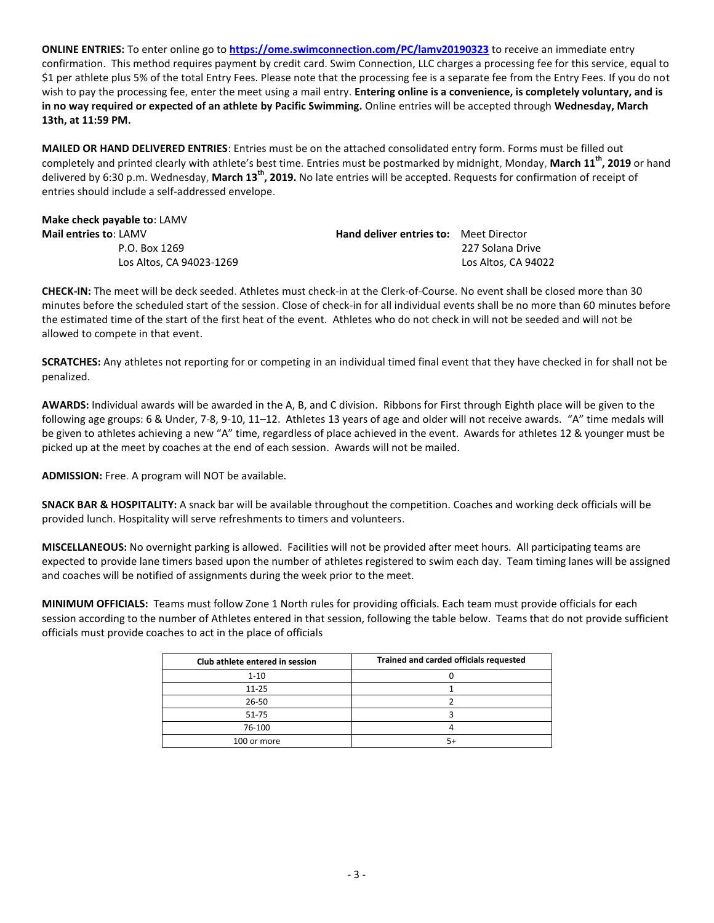**ONLINE ENTRIES:** To enter online go to **<https://ome.swimconnection.com/PC/lamv20190323>** to receive an immediate entry confirmation. This method requires payment by credit card. Swim Connection, LLC charges a processing fee for this service, equal to \$1 per athlete plus 5% of the total Entry Fees. Please note that the processing fee is a separate fee from the Entry Fees. If you do not wish to pay the processing fee, enter the meet using a mail entry. **Entering online is a convenience, is completely voluntary, and is in no way required or expected of an athlete by Pacific Swimming.** Online entries will be accepted through **Wednesday, March 13th, at 11:59 PM.**

**MAILED OR HAND DELIVERED ENTRIES**: Entries must be on the attached consolidated entry form. Forms must be filled out completely and printed clearly with athlete's best time. Entries must be postmarked by midnight, Monday, **March 11th, 2019** or hand delivered by 6:30 p.m. Wednesday, **March 13th, 2019.** No late entries will be accepted. Requests for confirmation of receipt of entries should include a self-addressed envelope.

| Make check payable to: LAMV  |                                               |                     |  |  |  |  |  |  |  |
|------------------------------|-----------------------------------------------|---------------------|--|--|--|--|--|--|--|
| <b>Mail entries to: LAMV</b> | <b>Hand deliver entries to:</b> Meet Director |                     |  |  |  |  |  |  |  |
| P.O. Box 1269                |                                               | 227 Solana Drive    |  |  |  |  |  |  |  |
| Los Altos. CA 94023-1269     |                                               | Los Altos. CA 94022 |  |  |  |  |  |  |  |

**CHECK-IN:** The meet will be deck seeded. Athletes must check-in at the Clerk-of-Course. No event shall be closed more than 30 minutes before the scheduled start of the session. Close of check-in for all individual events shall be no more than 60 minutes before the estimated time of the start of the first heat of the event. Athletes who do not check in will not be seeded and will not be allowed to compete in that event.

**SCRATCHES:** Any athletes not reporting for or competing in an individual timed final event that they have checked in for shall not be penalized.

**AWARDS:** Individual awards will be awarded in the A, B, and C division. Ribbons for First through Eighth place will be given to the following age groups: 6 & Under, 7-8, 9-10, 11–12. Athletes 13 years of age and older will not receive awards. "A" time medals will be given to athletes achieving a new "A" time, regardless of place achieved in the event. Awards for athletes 12 & younger must be picked up at the meet by coaches at the end of each session. Awards will not be mailed.

**ADMISSION:** Free. A program will NOT be available.

**SNACK BAR & HOSPITALITY:** A snack bar will be available throughout the competition. Coaches and working deck officials will be provided lunch. Hospitality will serve refreshments to timers and volunteers.

**MISCELLANEOUS:** No overnight parking is allowed. Facilities will not be provided after meet hours. All participating teams are expected to provide lane timers based upon the number of athletes registered to swim each day. Team timing lanes will be assigned and coaches will be notified of assignments during the week prior to the meet.

**MINIMUM OFFICIALS:** Teams must follow Zone 1 North rules for providing officials. Each team must provide officials for each session according to the number of Athletes entered in that session, following the table below. Teams that do not provide sufficient officials must provide coaches to act in the place of officials

| Club athlete entered in session | Trained and carded officials requested |
|---------------------------------|----------------------------------------|
| $1 - 10$                        |                                        |
| $11 - 25$                       |                                        |
| $26 - 50$                       |                                        |
| 51-75                           |                                        |
| 76-100                          |                                        |
| 100 or more                     |                                        |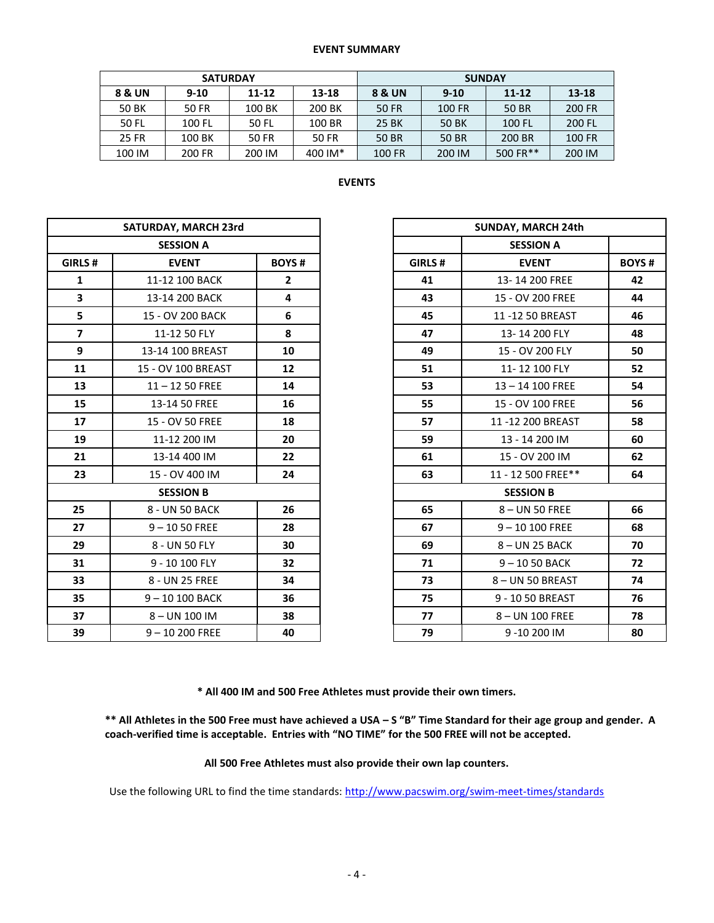## **EVENT SUMMARY**

|        | <b>SATURDAY</b> |           |         | <b>SUNDAY</b> |          |           |               |  |  |
|--------|-----------------|-----------|---------|---------------|----------|-----------|---------------|--|--|
| 8 & UN | $9 - 10$        | $11 - 12$ | 13-18   | 8 & UN        | $9 - 10$ | $11 - 12$ | $13 - 18$     |  |  |
| 50 BK  | 50 FR           | 100 BK    | 200 BK  | 50 FR         | 100 FR   | 50 BR     | 200 FR        |  |  |
| 50 FL  | 100 FL          | 50 FL     | 100 BR  | 25 BK         | 50 BK    | 100 FL    | 200 FL        |  |  |
| 25 FR  | 100 BK          | 50 FR     | 50 FR   | 50 BR         | 50 BR    | 200 BR    | <b>100 FR</b> |  |  |
| 100 IM | 200 FR          | 200 IM    | 400 IM* | 100 FR        | 200 IM   | 500 FR**  | 200 IM        |  |  |

## **EVENTS**

|                | SATURDAY, MARCH 23rd |              |        | SUNDAY, MARCH 24th |
|----------------|----------------------|--------------|--------|--------------------|
|                | <b>SESSION A</b>     |              |        | <b>SESSION A</b>   |
| GIRLS#         | <b>EVENT</b>         | <b>BOYS#</b> | GIRLS# | <b>EVENT</b>       |
| $\mathbf{1}$   | 11-12 100 BACK       | $\mathbf{2}$ | 41     | 13-14 200 FREE     |
| 3              | 13-14 200 BACK       | 4            | 43     | 15 - OV 200 FREE   |
| 5              | 15 - OV 200 BACK     | 6            | 45     | 11-12 50 BREAST    |
| $\overline{7}$ | 11-12 50 FLY         | 8            | 47     | 13-14 200 FLY      |
| 9              | 13-14 100 BREAST     | 10           | 49     | 15 - OV 200 FLY    |
| 11             | 15 - OV 100 BREAST   | 12           | 51     | 11-12 100 FLY      |
| 13             | $11 - 1250$ FREE     | 14           | 53     | 13-14 100 FREE     |
| 15             | 13-14 50 FREE        | 16           | 55     | 15 - OV 100 FREE   |
| 17             | 15 - OV 50 FREE      | 18           | 57     | 11-12 200 BREAST   |
| 19             | 11-12 200 IM         | 20           | 59     | 13 - 14 200 IM     |
| 21             | 13-14 400 IM         | 22           | 61     | 15 - OV 200 IM     |
| 23             | 15 - OV 400 IM       | 24           | 63     | 11 - 12 500 FREE** |
|                | <b>SESSION B</b>     |              |        | <b>SESSION B</b>   |
| 25             | 8 - UN 50 BACK       | 26           | 65     | 8-UN 50 FREE       |
| 27             | $9 - 1050$ FREE      | 28           | 67     | $9 - 10100$ FREE   |
| 29             | 8 - UN 50 FLY        | 30           | 69     | 8- UN 25 BACK      |
| 31             | 9 - 10 100 FLY       | 32           | 71     | $9 - 1050$ BACK    |
| 33             | 8 - UN 25 FREE       | 34           | 73     | 8-UN 50 BREAST     |
| 35             | $9 - 10100$ BACK     | 36           | 75     | 9 - 10 50 BREAST   |
| 37             | $8 - UN$ 100 IM      | 38           | 77     | 8-UN 100 FREE      |
| 39             | $9 - 10200$ FREE     | 40           | 79     | 9-10 200 IM        |

|                         | SATURDAY, MARCH 23rd |              |        | <b>SUNDAY, MARCH 24th</b> |  |
|-------------------------|----------------------|--------------|--------|---------------------------|--|
|                         | <b>SESSION A</b>     |              |        | <b>SESSION A</b>          |  |
| GIRLS #                 | <b>EVENT</b>         | <b>BOYS#</b> | GIRLS# | <b>EVENT</b>              |  |
| 1                       | 11-12 100 BACK       | $\mathbf{2}$ | 41     | 13-14 200 FREE            |  |
| $\overline{\mathbf{3}}$ | 13-14 200 BACK       | 4            | 43     | 15 - OV 200 FREE          |  |
| 5                       | 15 - OV 200 BACK     | 6            | 45     | 11 - 12 50 BREAST         |  |
| $\overline{\mathbf{z}}$ | 11-12 50 FLY         | 8            | 47     | 13-14 200 FLY             |  |
| 9                       | 13-14 100 BREAST     | 10           | 49     | 15 - OV 200 FLY           |  |
| 11                      | 15 - OV 100 BREAST   | 12           | 51     | 11-12 100 FLY             |  |
| 13                      | $11 - 1250$ FREE     | 14           | 53     | 13-14 100 FREE            |  |
| 15                      | 13-14 50 FREE        | 16           | 55     | 15 - OV 100 FREE          |  |
| 17                      | 15 - OV 50 FREE      | 18           | 57     | 11-12 200 BREAST          |  |
| 19                      | 11-12 200 IM         | 20           | 59     | 13 - 14 200 IM            |  |
| 21                      | 13-14 400 IM         | 22           | 61     | 15 - OV 200 IM            |  |
| 23                      | 15 - OV 400 IM       | 24           | 63     | 11 - 12 500 FREE**        |  |
|                         | <b>SESSION B</b>     |              |        | <b>SESSION B</b>          |  |
| 25                      | 8 - UN 50 BACK       | 26           | 65     | 8-UN 50 FREE              |  |
| 27                      | $9 - 1050$ FREE      | 28           | 67     | $9 - 10100$ FREE          |  |
| 29                      | 8 - UN 50 FLY        | 30           | 69     | 8-UN 25 BACK              |  |
| 31                      | 9 - 10 100 FLY       | 32           | 71     | $9 - 1050$ BACK           |  |
| 33                      | 8 - UN 25 FREE       | 34           | 73     | 8-UN 50 BREAST            |  |
| 35                      | $9 - 10100$ BACK     | 36           | 75     | 9 - 10 50 BREAST          |  |
| 37                      | 8-UN 100 IM          | 38           | 77     | 8-UN 100 FREE             |  |
| 39                      | $9 - 10200$ FREE     | 40           | 79     | 9-10 200 IM               |  |

**\* All 400 IM and 500 Free Athletes must provide their own timers.**

**\*\* All Athletes in the 500 Free must have achieved a USA – S "B" Time Standard for their age group and gender. A coach-verified time is acceptable. Entries with "NO TIME" for the 500 FREE will not be accepted.**

**All 500 Free Athletes must also provide their own lap counters.** 

Use the following URL to find the time standards:<http://www.pacswim.org/swim-meet-times/standards>